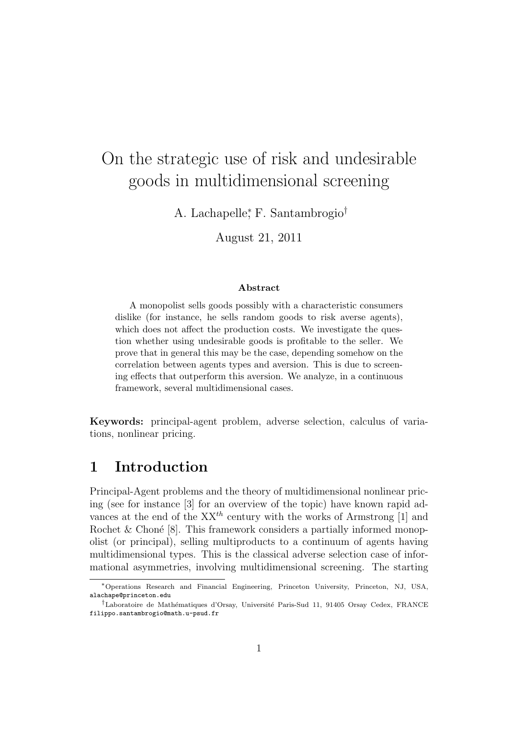# On the strategic use of risk and undesirable goods in multidimensional screening

A. Lachapelle<sup>∗</sup> , F. Santambrogio†

August 21, 2011

#### Abstract

A monopolist sells goods possibly with a characteristic consumers dislike (for instance, he sells random goods to risk averse agents), which does not affect the production costs. We investigate the question whether using undesirable goods is profitable to the seller. We prove that in general this may be the case, depending somehow on the correlation between agents types and aversion. This is due to screening effects that outperform this aversion. We analyze, in a continuous framework, several multidimensional cases.

Keywords: principal-agent problem, adverse selection, calculus of variations, nonlinear pricing.

# 1 Introduction

Principal-Agent problems and the theory of multidimensional nonlinear pricing (see for instance [3] for an overview of the topic) have known rapid advances at the end of the  $XX<sup>th</sup>$  century with the works of Armstrong [1] and Rochet & Choné [8]. This framework considers a partially informed monopolist (or principal), selling multiproducts to a continuum of agents having multidimensional types. This is the classical adverse selection case of informational asymmetries, involving multidimensional screening. The starting

<sup>∗</sup>Operations Research and Financial Engineering, Princeton University, Princeton, NJ, USA, alachape@princeton.edu

<sup>&</sup>lt;sup>†</sup>Laboratoire de Mathématiques d'Orsay, Université Paris-Sud 11, 91405 Orsay Cedex, FRANCE filippo.santambrogio@math.u-psud.fr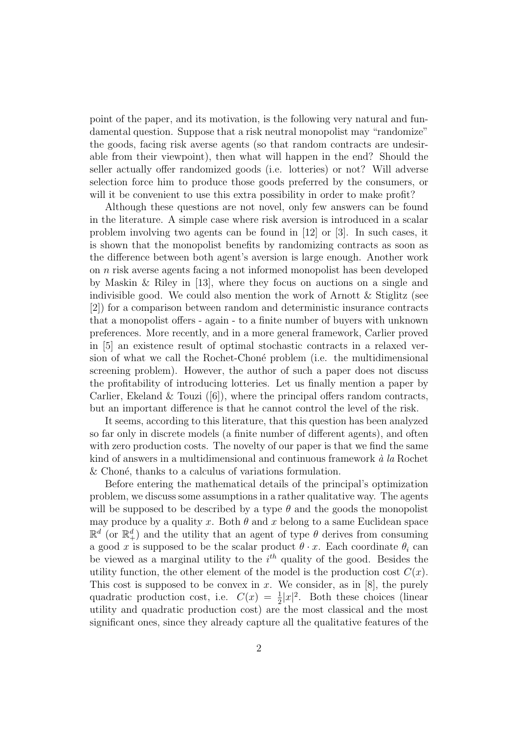point of the paper, and its motivation, is the following very natural and fundamental question. Suppose that a risk neutral monopolist may "randomize" the goods, facing risk averse agents (so that random contracts are undesirable from their viewpoint), then what will happen in the end? Should the seller actually offer randomized goods (i.e. lotteries) or not? Will adverse selection force him to produce those goods preferred by the consumers, or will it be convenient to use this extra possibility in order to make profit?

Although these questions are not novel, only few answers can be found in the literature. A simple case where risk aversion is introduced in a scalar problem involving two agents can be found in [12] or [3]. In such cases, it is shown that the monopolist benefits by randomizing contracts as soon as the difference between both agent's aversion is large enough. Another work on n risk averse agents facing a not informed monopolist has been developed by Maskin & Riley in [13], where they focus on auctions on a single and indivisible good. We could also mention the work of Arnott & Stiglitz (see [2]) for a comparison between random and deterministic insurance contracts that a monopolist offers - again - to a finite number of buyers with unknown preferences. More recently, and in a more general framework, Carlier proved in [5] an existence result of optimal stochastic contracts in a relaxed version of what we call the Rochet-Choné problem (i.e. the multidimensional screening problem). However, the author of such a paper does not discuss the profitability of introducing lotteries. Let us finally mention a paper by Carlier, Ekeland & Touzi  $([6])$ , where the principal offers random contracts, but an important difference is that he cannot control the level of the risk.

It seems, according to this literature, that this question has been analyzed so far only in discrete models (a finite number of different agents), and often with zero production costs. The novelty of our paper is that we find the same kind of answers in a multidimensional and continuous framework  $\dot{a}$  la Rochet  $& Choné, thanks to a calculus of variations formulation.$ 

Before entering the mathematical details of the principal's optimization problem, we discuss some assumptions in a rather qualitative way. The agents will be supposed to be described by a type  $\theta$  and the goods the monopolist may produce by a quality x. Both  $\theta$  and x belong to a same Euclidean space  $\mathbb{R}^d$  (or  $\mathbb{R}^d_+$ ) and the utility that an agent of type  $\theta$  derives from consuming a good x is supposed to be the scalar product  $\theta \cdot x$ . Each coordinate  $\theta_i$  can be viewed as a marginal utility to the  $i<sup>th</sup>$  quality of the good. Besides the utility function, the other element of the model is the production cost  $C(x)$ . This cost is supposed to be convex in  $x$ . We consider, as in [8], the purely quadratic production cost, i.e.  $C(x) = \frac{1}{2}|x|^2$ . Both these choices (linear utility and quadratic production cost) are the most classical and the most significant ones, since they already capture all the qualitative features of the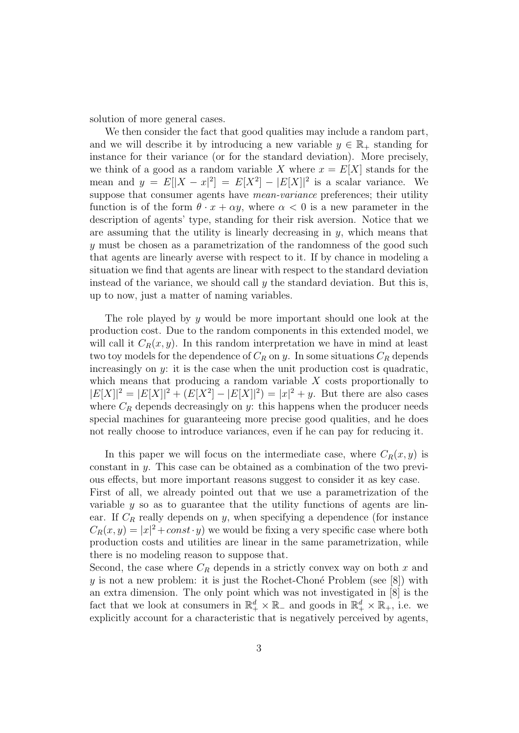solution of more general cases.

We then consider the fact that good qualities may include a random part, and we will describe it by introducing a new variable  $y \in \mathbb{R}_+$  standing for instance for their variance (or for the standard deviation). More precisely, we think of a good as a random variable X where  $x = E[X]$  stands for the mean and  $y = E[|X - x|^2] = E[X^2] - |E[X]|^2$  is a scalar variance. We suppose that consumer agents have *mean-variance* preferences; their utility function is of the form  $\theta \cdot x + \alpha y$ , where  $\alpha < 0$  is a new parameter in the description of agents' type, standing for their risk aversion. Notice that we are assuming that the utility is linearly decreasing in  $y$ , which means that y must be chosen as a parametrization of the randomness of the good such that agents are linearly averse with respect to it. If by chance in modeling a situation we find that agents are linear with respect to the standard deviation instead of the variance, we should call  $y$  the standard deviation. But this is, up to now, just a matter of naming variables.

The role played by  $y$  would be more important should one look at the production cost. Due to the random components in this extended model, we will call it  $C_R(x, y)$ . In this random interpretation we have in mind at least two toy models for the dependence of  $C_R$  on y. In some situations  $C_R$  depends increasingly on  $y$ : it is the case when the unit production cost is quadratic, which means that producing a random variable  $X$  costs proportionally to  $|E[X]|^2 = |E[X]|^2 + (E[X^2] - |E[X]|^2) = |x|^2 + y$ . But there are also cases where  $C_R$  depends decreasingly on y: this happens when the producer needs special machines for guaranteeing more precise good qualities, and he does not really choose to introduce variances, even if he can pay for reducing it.

In this paper we will focus on the intermediate case, where  $C_R(x, y)$  is constant in y. This case can be obtained as a combination of the two previous effects, but more important reasons suggest to consider it as key case. First of all, we already pointed out that we use a parametrization of the variable  $y$  so as to guarantee that the utility functions of agents are linear. If  $C_R$  really depends on y, when specifying a dependence (for instance  $C_R(x, y) = |x|^2 + const \cdot y$  we would be fixing a very specific case where both production costs and utilities are linear in the same parametrization, while there is no modeling reason to suppose that.

Second, the case where  $C_R$  depends in a strictly convex way on both x and y is not a new problem: it is just the Rochet-Choné Problem (see [8]) with an extra dimension. The only point which was not investigated in [8] is the fact that we look at consumers in  $\mathbb{R}^d_+ \times \mathbb{R}_-$  and goods in  $\mathbb{R}^d_+ \times \mathbb{R}_+$ , i.e. we explicitly account for a characteristic that is negatively perceived by agents,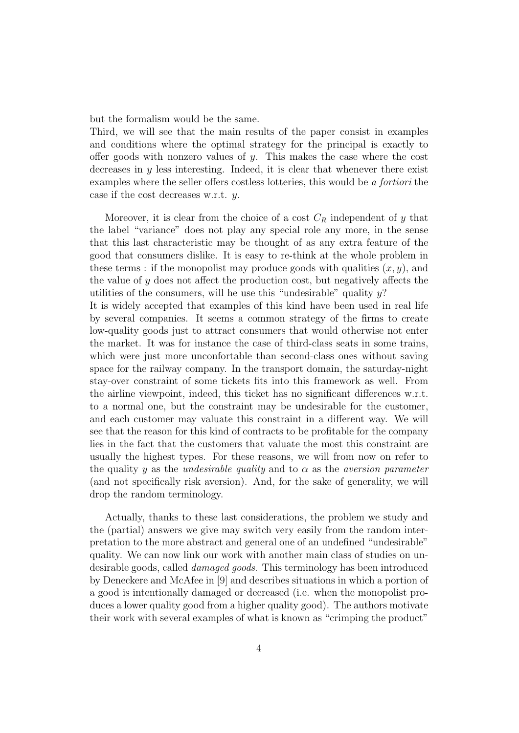but the formalism would be the same.

drop the random terminology.

Third, we will see that the main results of the paper consist in examples and conditions where the optimal strategy for the principal is exactly to offer goods with nonzero values of  $\psi$ . This makes the case where the cost decreases in  $y$  less interesting. Indeed, it is clear that whenever there exist examples where the seller offers costless lotteries, this would be a fortiori the case if the cost decreases w.r.t. y.

Moreover, it is clear from the choice of a cost  $C_R$  independent of y that the label "variance" does not play any special role any more, in the sense that this last characteristic may be thought of as any extra feature of the good that consumers dislike. It is easy to re-think at the whole problem in these terms : if the monopolist may produce goods with qualities  $(x, y)$ , and the value of y does not affect the production cost, but negatively affects the utilities of the consumers, will he use this "undesirable" quality  $y$ ? It is widely accepted that examples of this kind have been used in real life by several companies. It seems a common strategy of the firms to create low-quality goods just to attract consumers that would otherwise not enter the market. It was for instance the case of third-class seats in some trains, which were just more unconfortable than second-class ones without saving space for the railway company. In the transport domain, the saturday-night stay-over constraint of some tickets fits into this framework as well. From the airline viewpoint, indeed, this ticket has no significant differences w.r.t. to a normal one, but the constraint may be undesirable for the customer, and each customer may valuate this constraint in a different way. We will see that the reason for this kind of contracts to be profitable for the company lies in the fact that the customers that valuate the most this constraint are usually the highest types. For these reasons, we will from now on refer to the quality y as the *undesirable quality* and to  $\alpha$  as the *aversion parameter* (and not specifically risk aversion). And, for the sake of generality, we will

Actually, thanks to these last considerations, the problem we study and the (partial) answers we give may switch very easily from the random interpretation to the more abstract and general one of an undefined "undesirable" quality. We can now link our work with another main class of studies on undesirable goods, called damaged goods. This terminology has been introduced by Deneckere and McAfee in [9] and describes situations in which a portion of a good is intentionally damaged or decreased (i.e. when the monopolist produces a lower quality good from a higher quality good). The authors motivate their work with several examples of what is known as "crimping the product"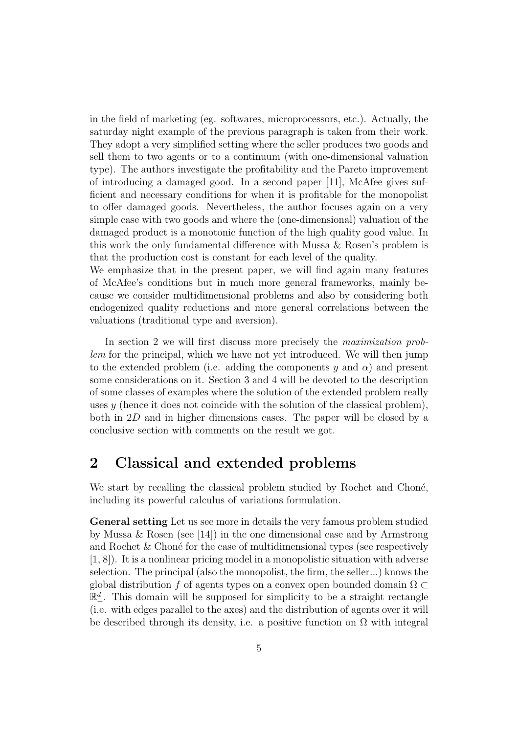in the field of marketing (eg. softwares, microprocessors, etc.). Actually, the saturday night example of the previous paragraph is taken from their work. They adopt a very simplified setting where the seller produces two goods and sell them to two agents or to a continuum (with one-dimensional valuation type). The authors investigate the profitability and the Pareto improvement of introducing a damaged good. In a second paper [11], McAfee gives sufficient and necessary conditions for when it is profitable for the monopolist to offer damaged goods. Nevertheless, the author focuses again on a very simple case with two goods and where the (one-dimensional) valuation of the damaged product is a monotonic function of the high quality good value. In this work the only fundamental difference with Mussa & Rosen's problem is that the production cost is constant for each level of the quality.

We emphasize that in the present paper, we will find again many features of McAfee's conditions but in much more general frameworks, mainly because we consider multidimensional problems and also by considering both endogenized quality reductions and more general correlations between the valuations (traditional type and aversion).

In section 2 we will first discuss more precisely the *maximization prob*lem for the principal, which we have not yet introduced. We will then jump to the extended problem (i.e. adding the components y and  $\alpha$ ) and present some considerations on it. Section 3 and 4 will be devoted to the description of some classes of examples where the solution of the extended problem really uses  $\gamma$  (hence it does not coincide with the solution of the classical problem), both in 2D and in higher dimensions cases. The paper will be closed by a conclusive section with comments on the result we got.

# 2 Classical and extended problems

We start by recalling the classical problem studied by Rochet and Choné, including its powerful calculus of variations formulation.

General setting Let us see more in details the very famous problem studied by Mussa & Rosen (see [14]) in the one dimensional case and by Armstrong and Rochet  $& Choné$  for the case of multidimensional types (see respectively [1, 8]). It is a nonlinear pricing model in a monopolistic situation with adverse selection. The principal (also the monopolist, the firm, the seller...) knows the global distribution f of agents types on a convex open bounded domain  $\Omega \subset$  $\mathbb{R}^d_+$ . This domain will be supposed for simplicity to be a straight rectangle (i.e. with edges parallel to the axes) and the distribution of agents over it will be described through its density, i.e. a positive function on  $\Omega$  with integral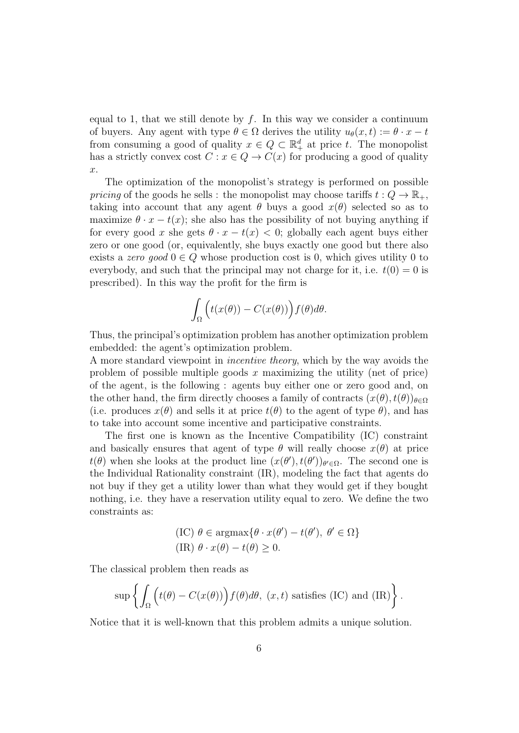equal to 1, that we still denote by  $f$ . In this way we consider a continuum of buyers. Any agent with type  $\theta \in \Omega$  derives the utility  $u_{\theta}(x, t) := \theta \cdot x - t$ from consuming a good of quality  $x \in Q \subset \mathbb{R}^d_+$  at price t. The monopolist has a strictly convex cost  $C: x \in Q \to C(x)$  for producing a good of quality x.

The optimization of the monopolist's strategy is performed on possible pricing of the goods he sells : the monopolist may choose tariffs  $t: Q \to \mathbb{R}_+$ , taking into account that any agent  $\theta$  buys a good  $x(\theta)$  selected so as to maximize  $\theta \cdot x - t(x)$ ; she also has the possibility of not buying anything if for every good x she gets  $\theta \cdot x - t(x) < 0$ ; globally each agent buys either zero or one good (or, equivalently, she buys exactly one good but there also exists a zero good  $0 \in Q$  whose production cost is 0, which gives utility 0 to everybody, and such that the principal may not charge for it, i.e.  $t(0) = 0$  is prescribed). In this way the profit for the firm is

$$
\int_{\Omega} \Big( t(x(\theta)) - C(x(\theta)) \Big) f(\theta) d\theta.
$$

Thus, the principal's optimization problem has another optimization problem embedded: the agent's optimization problem.

A more standard viewpoint in incentive theory, which by the way avoids the problem of possible multiple goods  $x$  maximizing the utility (net of price) of the agent, is the following : agents buy either one or zero good and, on the other hand, the firm directly chooses a family of contracts  $(x(\theta), t(\theta))_{\theta \in \Omega}$ (i.e. produces  $x(\theta)$  and sells it at price  $t(\theta)$  to the agent of type  $\theta$ ), and has to take into account some incentive and participative constraints.

The first one is known as the Incentive Compatibility (IC) constraint and basically ensures that agent of type  $\theta$  will really choose  $x(\theta)$  at price  $t(\theta)$  when she looks at the product line  $(x(\theta'), t(\theta'))_{\theta' \in \Omega}$ . The second one is the Individual Rationality constraint (IR), modeling the fact that agents do not buy if they get a utility lower than what they would get if they bought nothing, i.e. they have a reservation utility equal to zero. We define the two constraints as:

(IC) 
$$
\theta \in \operatorname{argmax} \{ \theta \cdot x(\theta') - t(\theta'), \ \theta' \in \Omega \}
$$
  
(IR)  $\theta \cdot x(\theta) - t(\theta) \ge 0$ .

The classical problem then reads as

$$
\sup \left\{ \int_{\Omega} \left( t(\theta) - C(x(\theta)) \right) f(\theta) d\theta, \ (x, t) \text{ satisfies (IC) and (IR)} \right\}.
$$

Notice that it is well-known that this problem admits a unique solution.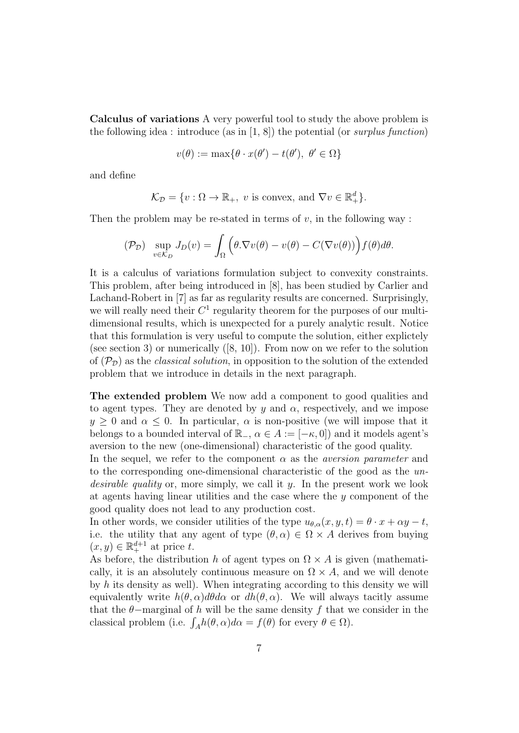Calculus of variations A very powerful tool to study the above problem is the following idea : introduce (as in  $[1, 8]$ ) the potential (or *surplus function*)

$$
v(\theta) := \max\{\theta \cdot x(\theta') - t(\theta'), \ \theta' \in \Omega\}
$$

and define

$$
\mathcal{K}_{\mathcal{D}} = \{v : \Omega \to \mathbb{R}_+, \ v \text{ is convex, and } \nabla v \in \mathbb{R}_+^d\}.
$$

Then the problem may be re-stated in terms of  $v$ , in the following way :

$$
(\mathcal{P}_{\mathcal{D}}) \ \ \sup_{v \in \mathcal{K}_{\mathcal{D}}} J_{D}(v) = \int_{\Omega} \left( \theta. \nabla v(\theta) - v(\theta) - C(\nabla v(\theta)) \right) f(\theta) d\theta.
$$

It is a calculus of variations formulation subject to convexity constraints. This problem, after being introduced in [8], has been studied by Carlier and Lachand-Robert in [7] as far as regularity results are concerned. Surprisingly, we will really need their  $C<sup>1</sup>$  regularity theorem for the purposes of our multidimensional results, which is unexpected for a purely analytic result. Notice that this formulation is very useful to compute the solution, either explictely (see section 3) or numerically  $([8, 10])$ . From now on we refer to the solution of  $(\mathcal{P}_D)$  as the *classical solution*, in opposition to the solution of the extended problem that we introduce in details in the next paragraph.

The extended problem We now add a component to good qualities and to agent types. They are denoted by y and  $\alpha$ , respectively, and we impose  $y > 0$  and  $\alpha \leq 0$ . In particular,  $\alpha$  is non-positive (we will impose that it belongs to a bounded interval of  $\mathbb{R}_-$ ,  $\alpha \in A := [-\kappa, 0]$  and it models agent's aversion to the new (one-dimensional) characteristic of the good quality.

In the sequel, we refer to the component  $\alpha$  as the *aversion parameter* and to the corresponding one-dimensional characteristic of the good as the undesirable quality or, more simply, we call it y. In the present work we look at agents having linear utilities and the case where the  $y$  component of the good quality does not lead to any production cost.

In other words, we consider utilities of the type  $u_{\theta,\alpha}(x, y, t) = \theta \cdot x + \alpha y - t$ , i.e. the utility that any agent of type  $(\theta, \alpha) \in \Omega \times A$  derives from buying  $(x, y) \in \mathbb{R}^{d+1}_+$  at price t.

As before, the distribution h of agent types on  $\Omega \times A$  is given (mathematically, it is an absolutely continuous measure on  $\Omega \times A$ , and we will denote by h its density as well). When integrating according to this density we will equivalently write  $h(\theta, \alpha)d\theta d\alpha$  or  $dh(\theta, \alpha)$ . We will always tacitly assume that the  $\theta$ -marginal of h will be the same density f that we consider in the classical problem (i.e.  $\int_A h(\theta, \alpha) d\alpha = f(\theta)$  for every  $\theta \in \Omega$ ).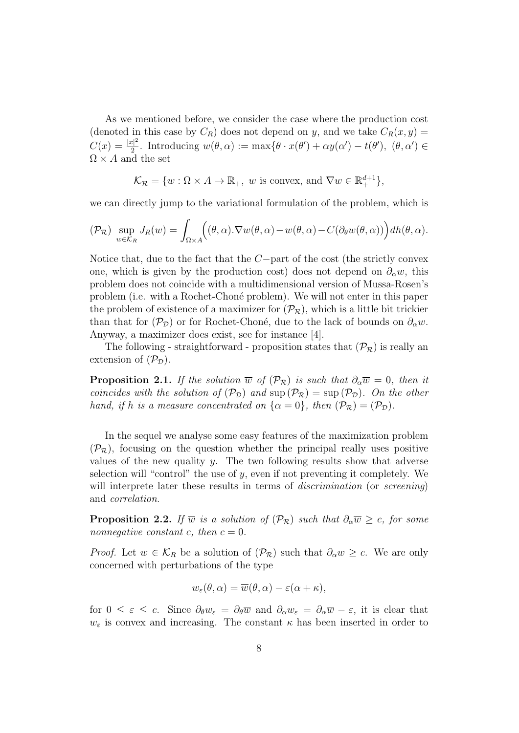As we mentioned before, we consider the case where the production cost (denoted in this case by  $C_R$ ) does not depend on y, and we take  $C_R(x, y)$  =  $C(x) = \frac{|x|^2}{2}$  $\frac{y_1^2}{2}$ . Introducing  $w(\theta, \alpha) := \max{\lbrace \theta \cdot x(\theta') + \alpha y(\alpha') - t(\theta'), (\theta, \alpha') \in \mathcal{C} \rbrace}$  $\Omega \times A$  and the set

$$
\mathcal{K}_{\mathcal{R}} = \{ w : \Omega \times A \to \mathbb{R}_+, \ w \text{ is convex, and } \nabla w \in \mathbb{R}_+^{d+1} \},
$$

we can directly jump to the variational formulation of the problem, which is

$$
(\mathcal{P}_{\mathcal{R}}) \ \ \sup_{w \in \mathcal{K}_R} J_R(w) = \int_{\Omega \times A} \Bigl( (\theta, \alpha) . \nabla w(\theta, \alpha) - w(\theta, \alpha) - C(\partial_\theta w(\theta, \alpha)) \Bigr) dh(\theta, \alpha).
$$

Notice that, due to the fact that the C−part of the cost (the strictly convex one, which is given by the production cost) does not depend on  $\partial_{\alpha}w$ , this problem does not coincide with a multidimensional version of Mussa-Rosen's problem (i.e. with a Rochet-Chon´e problem). We will not enter in this paper the problem of existence of a maximizer for  $(\mathcal{P}_R)$ , which is a little bit trickier than that for  $(\mathcal{P}_\mathcal{D})$  or for Rochet-Choné, due to the lack of bounds on  $\partial_\alpha w$ . Anyway, a maximizer does exist, see for instance [4].

The following - straightforward - proposition states that  $(\mathcal{P}_R)$  is really an extension of  $(\mathcal{P}_\mathcal{D})$ .

**Proposition 2.1.** If the solution  $\overline{w}$  of  $(\mathcal{P}_R)$  is such that  $\partial_{\alpha}\overline{w} = 0$ , then it coincides with the solution of  $(\mathcal{P}_D)$  and  $\sup(\mathcal{P}_R) = \sup(\mathcal{P}_D)$ . On the other hand, if h is a measure concentrated on  $\{\alpha = 0\}$ , then  $(\mathcal{P}_R) = (\mathcal{P}_D)$ .

In the sequel we analyse some easy features of the maximization problem  $(\mathcal{P}_R)$ , focusing on the question whether the principal really uses positive values of the new quality  $y$ . The two following results show that adverse selection will "control" the use of  $y$ , even if not preventing it completely. We will interprete later these results in terms of *discrimination* (or *screening*) and correlation.

**Proposition 2.2.** If  $\overline{w}$  is a solution of  $(\mathcal{P}_R)$  such that  $\partial_{\alpha} \overline{w} > c$ , for some nonnegative constant c, then  $c = 0$ .

*Proof.* Let  $\overline{w} \in \mathcal{K}_R$  be a solution of  $(\mathcal{P}_R)$  such that  $\partial_{\alpha} \overline{w} \geq c$ . We are only concerned with perturbations of the type

$$
w_{\varepsilon}(\theta, \alpha) = \overline{w}(\theta, \alpha) - \varepsilon(\alpha + \kappa),
$$

for  $0 \leq \varepsilon \leq c$ . Since  $\partial_{\theta} w_{\varepsilon} = \partial_{\theta} \overline{w}$  and  $\partial_{\alpha} w_{\varepsilon} = \partial_{\alpha} \overline{w} - \varepsilon$ , it is clear that  $w_{\varepsilon}$  is convex and increasing. The constant  $\kappa$  has been inserted in order to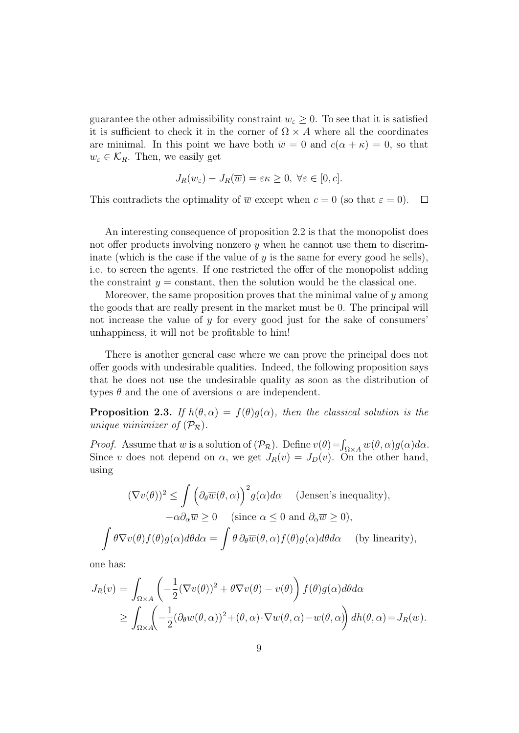guarantee the other admissibility constraint  $w_{\varepsilon} \geq 0$ . To see that it is satisfied it is sufficient to check it in the corner of  $\Omega \times A$  where all the coordinates are minimal. In this point we have both  $\overline{w} = 0$  and  $c(\alpha + \kappa) = 0$ , so that  $w_{\varepsilon} \in \mathcal{K}_R$ . Then, we easily get

$$
J_R(w_{\varepsilon}) - J_R(\overline{w}) = \varepsilon \kappa \ge 0, \ \forall \varepsilon \in [0, c].
$$

This contradicts the optimality of  $\overline{w}$  except when  $c = 0$  (so that  $\varepsilon = 0$ ).  $\Box$ 

An interesting consequence of proposition 2.2 is that the monopolist does not offer products involving nonzero y when he cannot use them to discriminate (which is the case if the value of  $y$  is the same for every good he sells), i.e. to screen the agents. If one restricted the offer of the monopolist adding the constraint  $y = constant$ , then the solution would be the classical one.

Moreover, the same proposition proves that the minimal value of  $y$  among the goods that are really present in the market must be 0. The principal will not increase the value of  $y$  for every good just for the sake of consumers' unhappiness, it will not be profitable to him!

There is another general case where we can prove the principal does not offer goods with undesirable qualities. Indeed, the following proposition says that he does not use the undesirable quality as soon as the distribution of types  $\theta$  and the one of aversions  $\alpha$  are independent.

**Proposition 2.3.** If  $h(\theta, \alpha) = f(\theta)g(\alpha)$ , then the classical solution is the unique minimizer of  $(\mathcal{P}_R)$ .

*Proof.* Assume that  $\overline{w}$  is a solution of  $(\mathcal{P}_\mathcal{R})$ . Define  $v(\theta) = \int_{\Omega \times A} \overline{w}(\theta, \alpha) g(\alpha) d\alpha$ . Since v does not depend on  $\alpha$ , we get  $J_R(v) = J_D(v)$ . On the other hand, using

$$
(\nabla v(\theta))^2 \le \int \left(\partial_\theta \overline{w}(\theta, \alpha)\right)^2 g(\alpha) d\alpha \quad \text{(Jensen's inequality)},
$$

$$
-\alpha \partial_\alpha \overline{w} \ge 0 \quad \text{(since } \alpha \le 0 \text{ and } \partial_\alpha \overline{w} \ge 0),
$$

$$
\int \theta \nabla v(\theta) f(\theta) g(\alpha) d\theta d\alpha = \int \theta \partial_\theta \overline{w}(\theta, \alpha) f(\theta) g(\alpha) d\theta d\alpha \quad \text{(by linearity)},
$$

one has:

$$
J_R(v) = \int_{\Omega \times A} \left( -\frac{1}{2} (\nabla v(\theta))^2 + \theta \nabla v(\theta) - v(\theta) \right) f(\theta) g(\alpha) d\theta d\alpha
$$
  
 
$$
\geq \int_{\Omega \times A} \left( -\frac{1}{2} (\partial_\theta \overline{w}(\theta, \alpha))^2 + (\theta, \alpha) \cdot \nabla \overline{w}(\theta, \alpha) - \overline{w}(\theta, \alpha) \right) dh(\theta, \alpha) = J_R(\overline{w}).
$$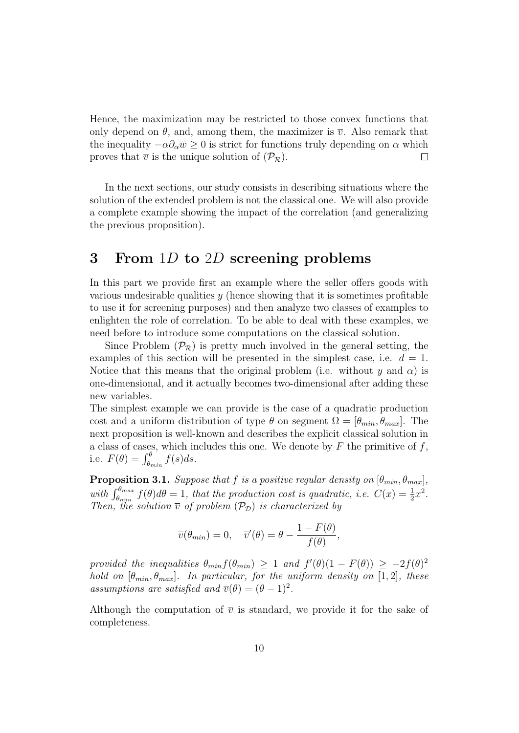Hence, the maximization may be restricted to those convex functions that only depend on  $\theta$ , and, among them, the maximizer is  $\overline{v}$ . Also remark that the inequality  $-\alpha \partial_{\alpha} \overline{w} \geq 0$  is strict for functions truly depending on  $\alpha$  which proves that  $\overline{v}$  is the unique solution of  $(\mathcal{P}_R)$ .  $\Box$ 

In the next sections, our study consists in describing situations where the solution of the extended problem is not the classical one. We will also provide a complete example showing the impact of the correlation (and generalizing the previous proposition).

# 3 From 1D to 2D screening problems

In this part we provide first an example where the seller offers goods with various undesirable qualities  $y$  (hence showing that it is sometimes profitable to use it for screening purposes) and then analyze two classes of examples to enlighten the role of correlation. To be able to deal with these examples, we need before to introduce some computations on the classical solution.

Since Problem  $(\mathcal{P}_R)$  is pretty much involved in the general setting, the examples of this section will be presented in the simplest case, i.e.  $d = 1$ . Notice that this means that the original problem (i.e. without y and  $\alpha$ ) is one-dimensional, and it actually becomes two-dimensional after adding these new variables.

The simplest example we can provide is the case of a quadratic production cost and a uniform distribution of type  $\theta$  on segment  $\Omega = [\theta_{min}, \theta_{max}]$ . The next proposition is well-known and describes the explicit classical solution in a class of cases, which includes this one. We denote by  $F$  the primitive of  $f$ , i.e.  $F(\theta) = \int_{\theta_{min}}^{\theta} f(s) ds$ .

**Proposition 3.1.** Suppose that f is a positive regular density on  $[\theta_{min}, \theta_{max}]$ , with  $\int_{\theta_{min}}^{\theta_{max}} f(\theta) d\theta = 1$ , that the production cost is quadratic, i.e.  $C(x) = \frac{1}{2}x^2$ . Then, the solution  $\overline{v}$  of problem  $(\mathcal{P}_D)$  is characterized by

$$
\overline{v}(\theta_{min}) = 0, \quad \overline{v}'(\theta) = \theta - \frac{1 - F(\theta)}{f(\theta)},
$$

provided the inequalities  $\theta_{min} f(\theta_{min}) \geq 1$  and  $f'(\theta)(1 - F(\theta)) \geq -2f(\theta)^2$ hold on  $[\theta_{min}, \theta_{max}]$ . In particular, for the uniform density on [1,2], these assumptions are satisfied and  $\overline{v}(\theta) = (\theta - 1)^2$ .

Although the computation of  $\bar{v}$  is standard, we provide it for the sake of completeness.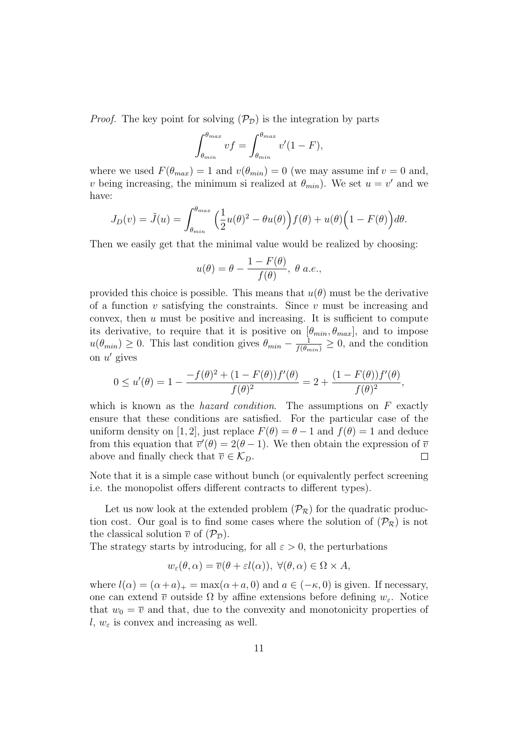*Proof.* The key point for solving  $(\mathcal{P}_D)$  is the integration by parts

$$
\int_{\theta_{min}}^{\theta_{max}} vf = \int_{\theta_{min}}^{\theta_{max}} v'(1 - F),
$$

where we used  $F(\theta_{max}) = 1$  and  $v(\theta_{min}) = 0$  (we may assume inf  $v = 0$  and, v being increasing, the minimum si realized at  $\theta_{min}$ ). We set  $u = v'$  and we have:

$$
J_D(v) = \tilde{J}(u) = \int_{\theta_{min}}^{\theta_{max}} \left(\frac{1}{2}u(\theta)^2 - \theta u(\theta)\right) f(\theta) + u(\theta) \left(1 - F(\theta)\right) d\theta.
$$

Then we easily get that the minimal value would be realized by choosing:

$$
u(\theta) = \theta - \frac{1 - F(\theta)}{f(\theta)}, \ \theta \ a.e.,
$$

provided this choice is possible. This means that  $u(\theta)$  must be the derivative of a function v satisfying the constraints. Since v must be increasing and convex, then  $u$  must be positive and increasing. It is sufficient to compute its derivative, to require that it is positive on  $[\theta_{min}, \theta_{max}]$ , and to impose  $u(\theta_{min}) \geq 0$ . This last condition gives  $\theta_{min} - \frac{1}{f(\theta_{min})} \geq 0$ , and the condition on  $u'$  gives

$$
0 \le u'(\theta) = 1 - \frac{-f(\theta)^2 + (1 - F(\theta))f'(\theta)}{f(\theta)^2} = 2 + \frac{(1 - F(\theta))f'(\theta)}{f(\theta)^2},
$$

which is known as the *hazard condition*. The assumptions on  $F$  exactly ensure that these conditions are satisfied. For the particular case of the uniform density on [1, 2], just replace  $F(\theta) = \theta - 1$  and  $f(\theta) = 1$  and deduce from this equation that  $\overline{v}'(\theta) = 2(\theta - 1)$ . We then obtain the expression of  $\overline{v}$ above and finally check that  $\overline{v} \in \mathcal{K}_D$ .  $\Box$ 

Note that it is a simple case without bunch (or equivalently perfect screening i.e. the monopolist offers different contracts to different types).

Let us now look at the extended problem  $(\mathcal{P}_R)$  for the quadratic production cost. Our goal is to find some cases where the solution of  $(\mathcal{P}_R)$  is not the classical solution  $\overline{v}$  of  $(\mathcal{P}_D)$ .

The strategy starts by introducing, for all  $\varepsilon > 0$ , the perturbations

$$
w_{\varepsilon}(\theta, \alpha) = \overline{v}(\theta + \varepsilon l(\alpha)), \ \forall (\theta, \alpha) \in \Omega \times A,
$$

where  $l(\alpha) = (\alpha + a)_+ = \max(\alpha + a, 0)$  and  $a \in (-\kappa, 0)$  is given. If necessary, one can extend  $\overline{v}$  outside  $\Omega$  by affine extensions before defining  $w_{\varepsilon}$ . Notice that  $w_0 = \overline{v}$  and that, due to the convexity and monotonicity properties of l,  $w_{\varepsilon}$  is convex and increasing as well.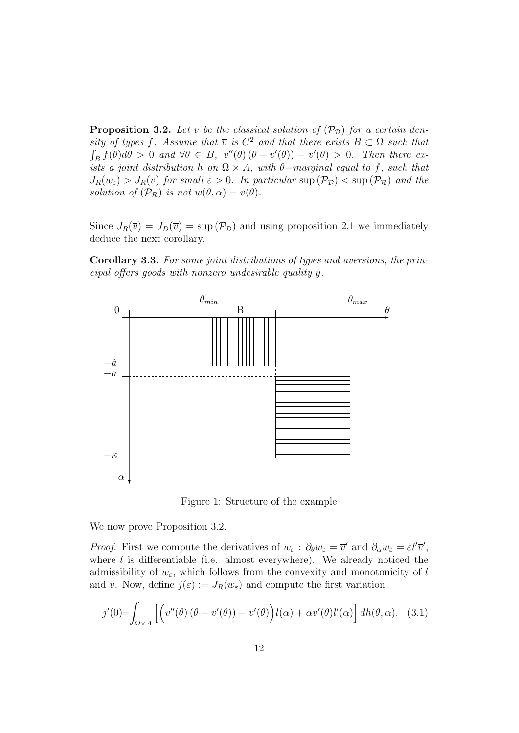**Proposition 3.2.** Let  $\overline{v}$  be the classical solution of  $(\mathcal{P}_D)$  for a certain density of types f. Assume that  $\overline{v}$  is  $C^2$  and that there exists  $B \subset \Omega$  such that  $\int_B f(\theta) d\theta > 0$  and  $\forall \theta \in B$ ,  $\overline{v}''(\theta) (\theta - \overline{v}'(\theta)) - \overline{v}'(\theta) > 0$ . Then there exists a joint distribution h on  $\Omega \times A$ , with  $\theta$ -marginal equal to f, such that  $J_R(w_{\varepsilon}) > J_R(\overline{v})$  for small  $\varepsilon > 0$ . In particular sup  $(\mathcal{P}_D) <$  sup  $(\mathcal{P}_R)$  and the solution of  $(\mathcal{P}_\mathcal{R})$  is not  $w(\theta, \alpha) = \overline{v}(\theta)$ .

Since  $J_R(\overline{v}) = J_D(\overline{v}) = \sup(\mathcal{P}_D)$  and using proposition 2.1 we immediately deduce the next corollary.

Corollary 3.3. For some joint distributions of types and aversions, the principal offers goods with nonzero undesirable quality y.



Figure 1: Structure of the example

We now prove Proposition 3.2.

*Proof.* First we compute the derivatives of  $w_{\varepsilon}$ :  $\partial_{\theta} w_{\varepsilon} = \overline{v}'$  and  $\partial_{\alpha} w_{\varepsilon} = \varepsilon l' \overline{v}'$ , where  $l$  is differentiable (i.e. almost everywhere). We already noticed the admissibility of  $w_{\varepsilon}$ , which follows from the convexity and monotonicity of l and  $\overline{v}$ . Now, define  $j(\varepsilon) := J_R(w_\varepsilon)$  and compute the first variation

$$
j'(0) = \int_{\Omega \times A} \left[ \left( \overline{v}''(\theta) \left( \theta - \overline{v}'(\theta) \right) - \overline{v}'(\theta) \right) l(\alpha) + \alpha \overline{v}'(\theta) l'(\alpha) \right] dh(\theta, \alpha). \quad (3.1)
$$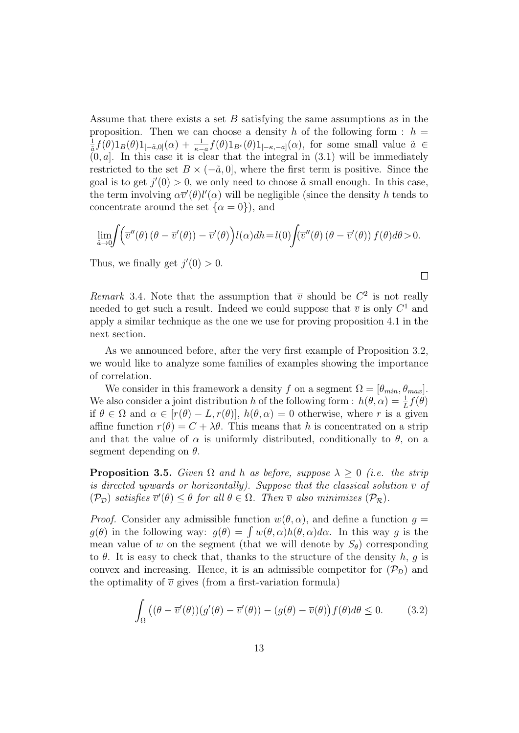Assume that there exists a set B satisfying the same assumptions as in the proposition. Then we can choose a density h of the following form :  $h =$ 1  $\frac{1}{\tilde{a}}f(\theta)1_B(\theta)1_{[-\tilde{a},0]}(\alpha) + \frac{1}{\kappa-a}f(\theta)1_{B^c}(\theta)1_{[-\kappa,-a]}(\alpha)$ , for some small value  $\tilde{a} \in$  $(0, a]$ . In this case it is clear that the integral in  $(3.1)$  will be immediately restricted to the set  $B \times (-\tilde{a}, 0]$ , where the first term is positive. Since the goal is to get  $j'(0) > 0$ , we only need to choose  $\tilde{a}$  small enough. In this case, the term involving  $\alpha \bar{v}'(\theta) l'(\alpha)$  will be negligible (since the density h tends to concentrate around the set  $\{\alpha = 0\}$ , and

$$
\lim_{\tilde{a}\to 0} \int \Bigl(\overline{v}''(\theta)\,(\theta-\overline{v}'(\theta))-\overline{v}'(\theta)\Bigr) l(\alpha)dh=l(0) \int \Bigl(\overline{v}''(\theta)\,(\theta-\overline{v}'(\theta))\,f(\theta)d\theta>0.
$$

 $\Box$ 

Thus, we finally get  $j'(0) > 0$ .

Remark 3.4. Note that the assumption that  $\overline{v}$  should be  $C^2$  is not really needed to get such a result. Indeed we could suppose that  $\overline{v}$  is only  $C^1$  and apply a similar technique as the one we use for proving proposition 4.1 in the next section.

As we announced before, after the very first example of Proposition 3.2, we would like to analyze some families of examples showing the importance of correlation.

We consider in this framework a density f on a segment  $\Omega = [\theta_{min}, \theta_{max}]$ . We also consider a joint distribution h of the following form :  $h(\theta, \alpha) = \frac{1}{L} f(\theta)$ if  $\theta \in \Omega$  and  $\alpha \in [r(\theta) - L, r(\theta)], h(\theta, \alpha) = 0$  otherwise, where r is a given affine function  $r(\theta) = C + \lambda \theta$ . This means that h is concentrated on a strip and that the value of  $\alpha$  is uniformly distributed, conditionally to  $\theta$ , on a segment depending on  $\theta$ .

**Proposition 3.5.** Given  $\Omega$  and h as before, suppose  $\lambda \geq 0$  (i.e. the strip is directed upwards or horizontally). Suppose that the classical solution  $\overline{v}$  of  $(\mathcal{P}_\mathcal{D})$  satisfies  $\overline{v}'(\theta) \leq \theta$  for all  $\theta \in \Omega$ . Then  $\overline{v}$  also minimizes  $(\mathcal{P}_\mathcal{R})$ .

*Proof.* Consider any admissible function  $w(\theta, \alpha)$ , and define a function  $q =$  $g(\theta)$  in the following way:  $g(\theta) = \int w(\theta, \alpha)h(\theta, \alpha)d\alpha$ . In this way g is the mean value of w on the segment (that we will denote by  $S_{\theta}$ ) corresponding to  $\theta$ . It is easy to check that, thanks to the structure of the density h, g is convex and increasing. Hence, it is an admissible competitor for  $(\mathcal{P}_D)$  and the optimality of  $\overline{v}$  gives (from a first-variation formula)

$$
\int_{\Omega} \left( (\theta - \overline{v}'(\theta)) (g'(\theta) - \overline{v}'(\theta)) - (g(\theta) - \overline{v}(\theta)) f(\theta) d\theta \le 0. \right) \tag{3.2}
$$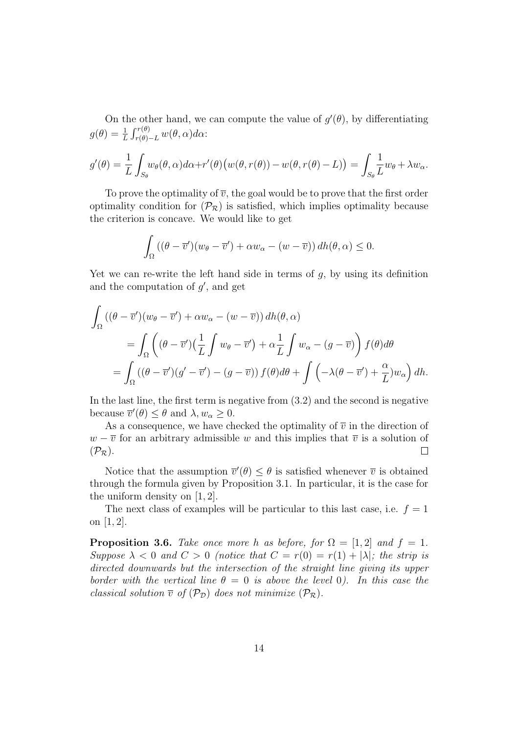On the other hand, we can compute the value of  $g'(\theta)$ , by differentiating  $g(\theta)=\frac{1}{L}\int_{r(\theta)-L}^{r(\theta)}w(\theta,\alpha)d\alpha$ :

$$
g'(\theta) = \frac{1}{L} \int_{S_{\theta}} w_{\theta}(\theta, \alpha) d\alpha + r'(\theta) \big( w(\theta, r(\theta)) - w(\theta, r(\theta) - L) \big) = \int_{S_{\theta}} \frac{1}{L} w_{\theta} + \lambda w_{\alpha}.
$$

To prove the optimality of  $\overline{v}$ , the goal would be to prove that the first order optimality condition for  $(\mathcal{P}_R)$  is satisfied, which implies optimality because the criterion is concave. We would like to get

$$
\int_{\Omega} \left( (\theta - \overline{v}') (w_{\theta} - \overline{v}') + \alpha w_{\alpha} - (w - \overline{v}) \right) dh(\theta, \alpha) \leq 0.
$$

Yet we can re-write the left hand side in terms of  $g$ , by using its definition and the computation of  $g'$ , and get

$$
\int_{\Omega} \left( (\theta - \overline{v}') (w_{\theta} - \overline{v}') + \alpha w_{\alpha} - (w - \overline{v}) \right) dh(\theta, \alpha)
$$
\n
$$
= \int_{\Omega} \left( (\theta - \overline{v}') \left( \frac{1}{L} \int w_{\theta} - \overline{v}' \right) + \alpha \frac{1}{L} \int w_{\alpha} - (g - \overline{v}) \right) f(\theta) d\theta
$$
\n
$$
= \int_{\Omega} \left( (\theta - \overline{v}') (g' - \overline{v}') - (g - \overline{v}) \right) f(\theta) d\theta + \int \left( -\lambda (\theta - \overline{v}') + \frac{\alpha}{L} \right) w_{\alpha} \right) dh.
$$

In the last line, the first term is negative from (3.2) and the second is negative because  $\overline{v}'(\theta) \leq \theta$  and  $\lambda, w_{\alpha} \geq 0$ .

As a consequence, we have checked the optimality of  $\overline{v}$  in the direction of  $w - \overline{v}$  for an arbitrary admissible w and this implies that  $\overline{v}$  is a solution of  $(\mathcal{P}_\mathcal{R})$ .  $\Box$ 

Notice that the assumption  $\overline{v}'(\theta) \leq \theta$  is satisfied whenever  $\overline{v}$  is obtained through the formula given by Proposition 3.1. In particular, it is the case for the uniform density on [1, 2].

The next class of examples will be particular to this last case, i.e.  $f = 1$ on [1, 2].

**Proposition 3.6.** Take once more h as before, for  $\Omega = [1, 2]$  and  $f = 1$ . Suppose  $\lambda < 0$  and  $C > 0$  (notice that  $C = r(0) = r(1) + |\lambda|$ ; the strip is directed downwards but the intersection of the straight line giving its upper border with the vertical line  $\theta = 0$  is above the level 0). In this case the classical solution  $\overline{v}$  of  $(\mathcal{P}_\mathcal{D})$  does not minimize  $(\mathcal{P}_\mathcal{R})$ .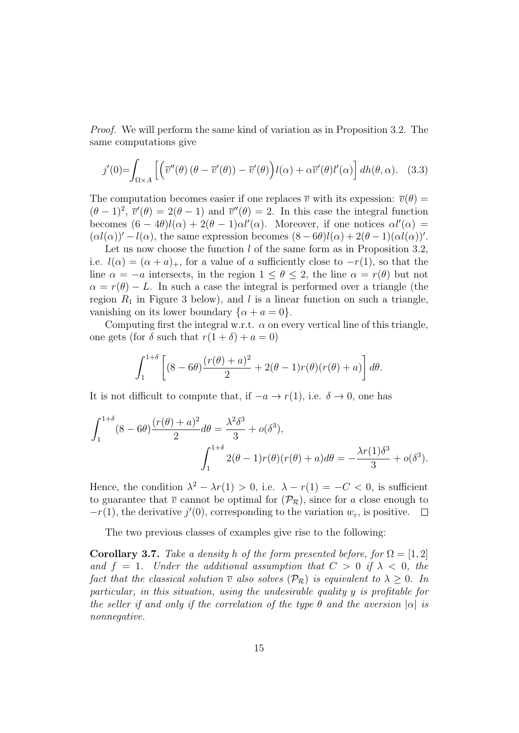Proof. We will perform the same kind of variation as in Proposition 3.2. The same computations give

$$
j'(0) = \int_{\Omega \times A} \left[ \left( \overline{v}''(\theta) \left( \theta - \overline{v}'(\theta) \right) - \overline{v}'(\theta) \right) l(\alpha) + \alpha \overline{v}'(\theta) l'(\alpha) \right] dh(\theta, \alpha). \quad (3.3)
$$

The computation becomes easier if one replaces  $\overline{v}$  with its expession:  $\overline{v}(\theta)$  =  $(\theta - 1)^2$ ,  $\overline{v}'(\theta) = 2(\theta - 1)$  and  $\overline{v}''(\theta) = 2$ . In this case the integral function becomes  $(6 - 4\theta)l(\alpha) + 2(\theta - 1)\alpha l'(\alpha)$ . Moreover, if one notices  $\alpha l'(\alpha)$  =  $(\alpha l(\alpha))' - l(\alpha)$ , the same expression becomes  $(8 - 6\theta)l(\alpha) + 2(\theta - 1)(\alpha l(\alpha))'.$ 

Let us now choose the function  $l$  of the same form as in Proposition 3.2, i.e.  $l(\alpha) = (\alpha + a)_+$ , for a value of a sufficiently close to  $-r(1)$ , so that the line  $\alpha = -a$  intersects, in the region  $1 \le \theta \le 2$ , the line  $\alpha = r(\theta)$  but not  $\alpha = r(\theta) - L$ . In such a case the integral is performed over a triangle (the region  $R_1$  in Figure 3 below), and l is a linear function on such a triangle, vanishing on its lower boundary  $\{\alpha + a = 0\}.$ 

Computing first the integral w.r.t.  $\alpha$  on every vertical line of this triangle, one gets (for  $\delta$  such that  $r(1 + \delta) + a = 0$ )

$$
\int_{1}^{1+\delta} \left[ (8-6\theta) \frac{(r(\theta)+a)^2}{2} + 2(\theta-1)r(\theta)(r(\theta)+a) \right] d\theta.
$$

It is not difficult to compute that, if  $-a \to r(1)$ , i.e.  $\delta \to 0$ , one has

$$
\int_{1}^{1+\delta} (8-6\theta) \frac{(r(\theta)+a)^2}{2} d\theta = \frac{\lambda^2 \delta^3}{3} + o(\delta^3),
$$

$$
\int_{1}^{1+\delta} 2(\theta-1)r(\theta)(r(\theta)+a)d\theta = -\frac{\lambda r(1)\delta^3}{3} + o(\delta^3).
$$

Hence, the condition  $\lambda^2 - \lambda r(1) > 0$ , i.e.  $\lambda - r(1) = -C < 0$ , is sufficient to guarantee that  $\bar{v}$  cannot be optimal for  $(\mathcal{P}_R)$ , since for a close enough to  $-r(1)$ , the derivative  $j'(0)$ , corresponding to the variation  $w_{\varepsilon}$ , is positive.

The two previous classes of examples give rise to the following:

**Corollary 3.7.** Take a density h of the form presented before, for  $\Omega = [1, 2]$ and  $f = 1$ . Under the additional assumption that  $C > 0$  if  $\lambda < 0$ , the fact that the classical solution  $\overline{v}$  also solves  $(\mathcal{P}_R)$  is equivalent to  $\lambda \geq 0$ . In particular, in this situation, using the undesirable quality y is profitable for the seller if and only if the correlation of the type  $\theta$  and the aversion  $|\alpha|$  is nonnegative.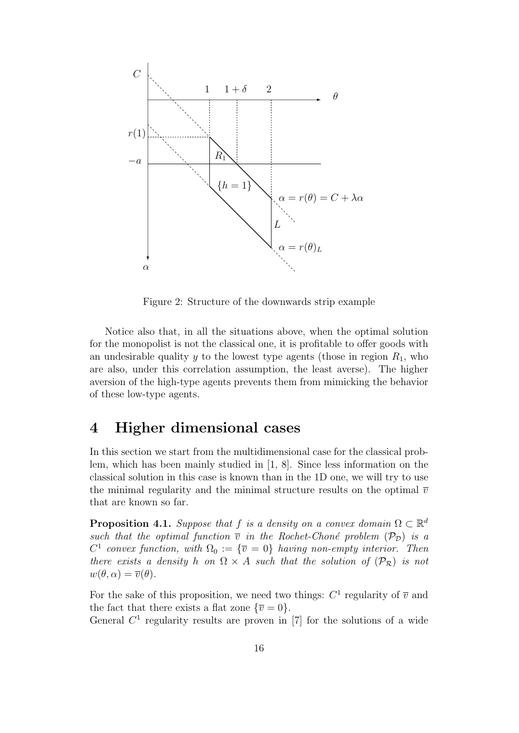

Figure 2: Structure of the downwards strip example

Notice also that, in all the situations above, when the optimal solution for the monopolist is not the classical one, it is profitable to offer goods with an undesirable quality y to the lowest type agents (those in region  $R_1$ , who are also, under this correlation assumption, the least averse). The higher aversion of the high-type agents prevents them from mimicking the behavior of these low-type agents.

# 4 Higher dimensional cases

In this section we start from the multidimensional case for the classical problem, which has been mainly studied in [1, 8]. Since less information on the classical solution in this case is known than in the 1D one, we will try to use the minimal regularity and the minimal structure results on the optimal  $\overline{v}$ that are known so far.

**Proposition 4.1.** Suppose that f is a density on a convex domain  $\Omega \subset \mathbb{R}^d$ such that the optimal function  $\overline{v}$  in the Rochet-Choné problem  $(\mathcal{P}_D)$  is a  $C^1$  convex function, with  $\Omega_0 := {\overline{v} = 0}$  having non-empty interior. Then there exists a density h on  $\Omega \times A$  such that the solution of  $(\mathcal{P}_R)$  is not  $w(\theta, \alpha) = \overline{v}(\theta).$ 

For the sake of this proposition, we need two things:  $C^1$  regularity of  $\overline{v}$  and the fact that there exists a flat zone  $\{\overline{v} = 0\}.$ 

General  $C^1$  regularity results are proven in [7] for the solutions of a wide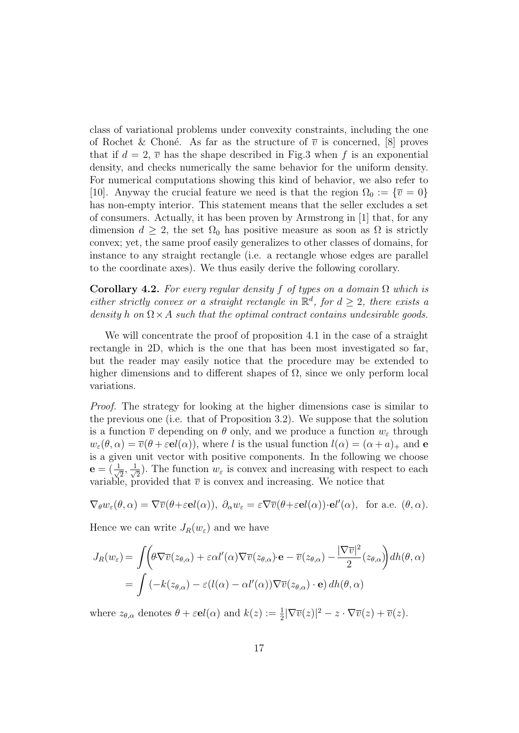class of variational problems under convexity constraints, including the one of Rochet & Choné. As far as the structure of  $\overline{v}$  is concerned, [8] proves that if  $d = 2$ ,  $\overline{v}$  has the shape described in Fig.3 when f is an exponential density, and checks numerically the same behavior for the uniform density. For numerical computations showing this kind of behavior, we also refer to [10]. Anyway the crucial feature we need is that the region  $\Omega_0 := {\overline{v} = 0}$ has non-empty interior. This statement means that the seller excludes a set of consumers. Actually, it has been proven by Armstrong in [1] that, for any dimension  $d \geq 2$ , the set  $\Omega_0$  has positive measure as soon as  $\Omega$  is strictly convex; yet, the same proof easily generalizes to other classes of domains, for instance to any straight rectangle (i.e. a rectangle whose edges are parallel to the coordinate axes). We thus easily derive the following corollary.

**Corollary 4.2.** For every regular density f of types on a domain  $\Omega$  which is either strictly convex or a straight rectangle in  $\mathbb{R}^d$ , for  $d \geq 2$ , there exists a density h on  $\Omega \times A$  such that the optimal contract contains undesirable goods.

We will concentrate the proof of proposition 4.1 in the case of a straight rectangle in 2D, which is the one that has been most investigated so far, but the reader may easily notice that the procedure may be extended to higher dimensions and to different shapes of  $\Omega$ , since we only perform local variations.

Proof. The strategy for looking at the higher dimensions case is similar to the previous one (i.e. that of Proposition 3.2). We suppose that the solution is a function  $\bar{v}$  depending on  $\theta$  only, and we produce a function  $w_{\varepsilon}$  through  $w_{\varepsilon}(\theta, \alpha) = \overline{v}(\theta + \varepsilon \mathbf{e}^{l}(\alpha))$ , where l is the usual function  $l(\alpha) = (\alpha + a)_{+}$  and **e** is a given unit vector with positive components. In the following we choose  $\mathbf{e} = (\frac{1}{\sqrt{2}})$  $\frac{1}{2}, \frac{1}{\sqrt{2}}$  $\frac{1}{2}$ ). The function  $w_{\varepsilon}$  is convex and increasing with respect to each variable, provided that  $\overline{v}$  is convex and increasing. We notice that

$$
\nabla_{\theta} w_{\varepsilon}(\theta, \alpha) = \nabla \overline{v}(\theta + \varepsilon \mathbf{e} l(\alpha)), \ \partial_{\alpha} w_{\varepsilon} = \varepsilon \nabla \overline{v}(\theta + \varepsilon \mathbf{e} l(\alpha)) \cdot \mathbf{e} l'(\alpha), \text{ for a.e. } (\theta, \alpha).
$$

Hence we can write  $J_R(w_\varepsilon)$  and we have

$$
J_R(w_{\varepsilon}) = \int \left( \theta \nabla \overline{v}(z_{\theta,\alpha}) + \varepsilon \alpha l'(\alpha) \nabla \overline{v}(z_{\theta,\alpha}) \cdot \mathbf{e} - \overline{v}(z_{\theta,\alpha}) - \frac{|\nabla \overline{v}|^2}{2} (z_{\theta,\alpha}) \right) dh(\theta, \alpha)
$$
  
= 
$$
\int \left( -k(z_{\theta,\alpha}) - \varepsilon (l(\alpha) - \alpha l'(\alpha)) \nabla \overline{v}(z_{\theta,\alpha}) \cdot \mathbf{e} \right) dh(\theta, \alpha)
$$

where  $z_{\theta,\alpha}$  denotes  $\theta + \varepsilon el(\alpha)$  and  $k(z) := \frac{1}{2} |\nabla \overline{v}(z)|^2 - z \cdot \nabla \overline{v}(z) + \overline{v}(z)$ .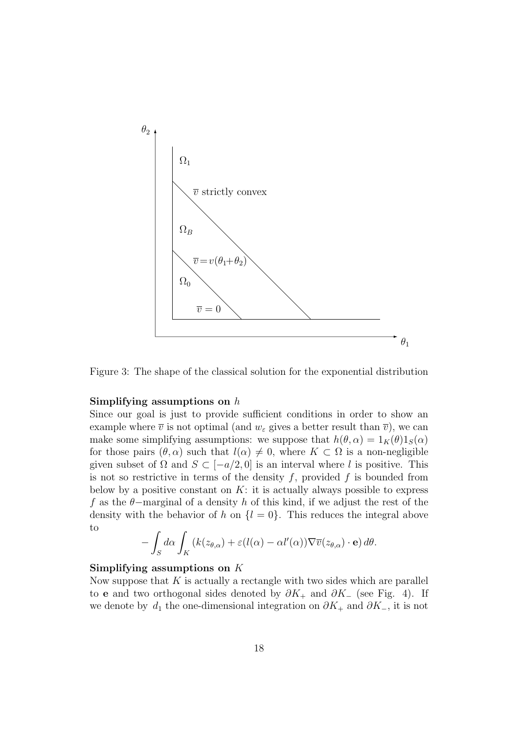

Figure 3: The shape of the classical solution for the exponential distribution

#### Simplifying assumptions on h

Since our goal is just to provide sufficient conditions in order to show an example where  $\overline{v}$  is not optimal (and  $w_{\varepsilon}$  gives a better result than  $\overline{v}$ ), we can make some simplifying assumptions: we suppose that  $h(\theta, \alpha) = 1_K(\theta)1_S(\alpha)$ for those pairs  $(\theta, \alpha)$  such that  $l(\alpha) \neq 0$ , where  $K \subset \Omega$  is a non-negligible given subset of  $\Omega$  and  $S \subset [-a/2, 0]$  is an interval where l is positive. This is not so restrictive in terms of the density  $f$ , provided  $f$  is bounded from below by a positive constant on  $K$ : it is actually always possible to express f as the  $\theta$ -marginal of a density h of this kind, if we adjust the rest of the density with the behavior of h on  $\{l = 0\}$ . This reduces the integral above to

$$
-\int_{S} d\alpha \int_{K} \left(k(z_{\theta,\alpha}) + \varepsilon (l(\alpha) - \alpha l'(\alpha))\nabla \overline{v}(z_{\theta,\alpha}) \cdot \mathbf{e}\right) d\theta.
$$

#### Simplifying assumptions on  $K$

Now suppose that  $K$  is actually a rectangle with two sides which are parallel to e and two orthogonal sides denoted by  $\partial K_+$  and  $\partial K_-\$  (see Fig. 4). If we denote by  $d_1$  the one-dimensional integration on  $\partial K_+$  and  $\partial K_-,$  it is not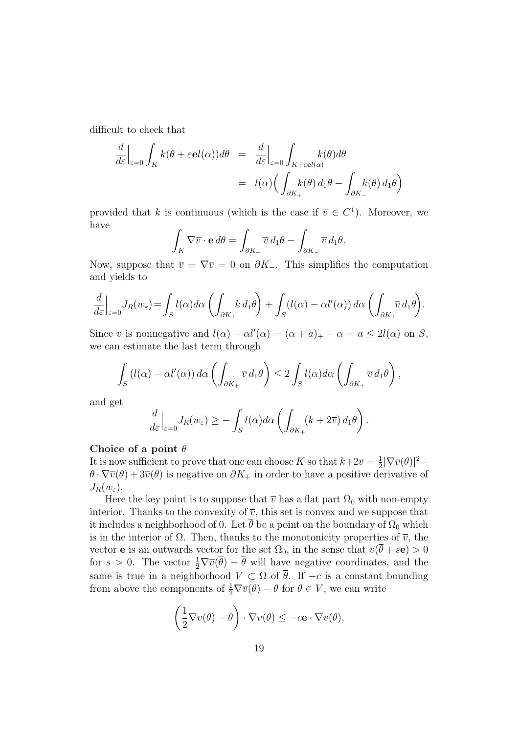difficult to check that

$$
\frac{d}{d\varepsilon}\Big|_{\varepsilon=0} \int_K k(\theta + \varepsilon \mathbf{e} l(\alpha)) d\theta = \frac{d}{d\varepsilon}\Big|_{\varepsilon=0} \int_{K + \varepsilon \mathbf{e} l(\alpha)} k(\theta) d\theta
$$

$$
= l(\alpha) \Big( \int_{\partial K_+} k(\theta) d_1 \theta - \int_{\partial K_-} k(\theta) d_1 \theta \Big)
$$

provided that k is continuous (which is the case if  $\overline{v} \in C^1$ ). Moreover, we have

$$
\int_K \nabla \overline{v} \cdot \mathbf{e} \, d\theta = \int_{\partial K_+} \overline{v} \, d_1 \theta - \int_{\partial K_-} \overline{v} \, d_1 \theta.
$$

Now, suppose that  $\overline{v} = \nabla \overline{v} = 0$  on  $\partial K_-\overline{v}$ . This simplifies the computation and yields to

$$
\frac{d}{d\varepsilon}\Big|_{\varepsilon=0}J_R(w_\varepsilon)=\int_S l(\alpha)d\alpha\left(\int_{\partial K_+}k d_1\theta\right)+\int_S (l(\alpha)-\alpha l'(\alpha))\,d\alpha\left(\int_{\partial K_+}\overline{v}\,d_1\theta\right).
$$

Since  $\overline{v}$  is nonnegative and  $l(\alpha) - \alpha l'(\alpha) = (\alpha + a)_+ - \alpha = a \leq 2l(\alpha)$  on S, we can estimate the last term through

$$
\int_{S} (l(\alpha) - \alpha l'(\alpha)) d\alpha \left( \int_{\partial K_+} \overline{v} d_1 \theta \right) \leq 2 \int_{S} l(\alpha) d\alpha \left( \int_{\partial K_+} \overline{v} d_1 \theta \right),
$$

and get

$$
\frac{d}{d\varepsilon}\Big|_{\varepsilon=0} J_R(w_\varepsilon) \geq -\int_S l(\alpha) d\alpha \left( \int_{\partial K_+} (k+2\overline{v}) d_1 \theta \right).
$$

#### Choice of a point  $\overline{\theta}$

It is now sufficient to prove that one can choose K so that  $k+2\overline{v}=\frac{1}{2}$  $\frac{1}{2}|\nabla \overline{v}(\theta)|^2 \theta \cdot \nabla \overline{v}(\theta) + 3\overline{v}(\theta)$  is negative on  $\partial K_+$  in order to have a positive derivative of  $J_R(w_\varepsilon)$ .

Here the key point is to suppose that  $\overline{v}$  has a flat part  $\Omega_0$  with non-empty interior. Thanks to the convexity of  $\overline{v}$ , this set is convex and we suppose that it includes a neighborhood of 0. Let  $\bar{\theta}$  be a point on the boundary of  $\Omega_0$  which is in the interior of  $\Omega$ . Then, thanks to the monotonicity properties of  $\overline{v}$ , the vector **e** is an outwards vector for the set  $\Omega_0$ , in the sense that  $\overline{v}(\overline{\theta} + s\mathbf{e}) > 0$ for  $s > 0$ . The vector  $\frac{1}{2} \nabla \overline{v}(\overline{\theta}) - \overline{\theta}$  will have negative coordinates, and the same is true in a neighborhood  $V \subset \Omega$  of  $\overline{\theta}$ . If  $-c$  is a constant bounding from above the components of  $\frac{1}{2}\nabla \overline{v}(\theta) - \theta$  for  $\theta \in V$ , we can write

$$
\left(\frac{1}{2}\nabla\overline{v}(\theta)-\theta\right)\cdot\nabla\overline{v}(\theta)\leq-c\mathbf{e}\cdot\nabla\overline{v}(\theta),
$$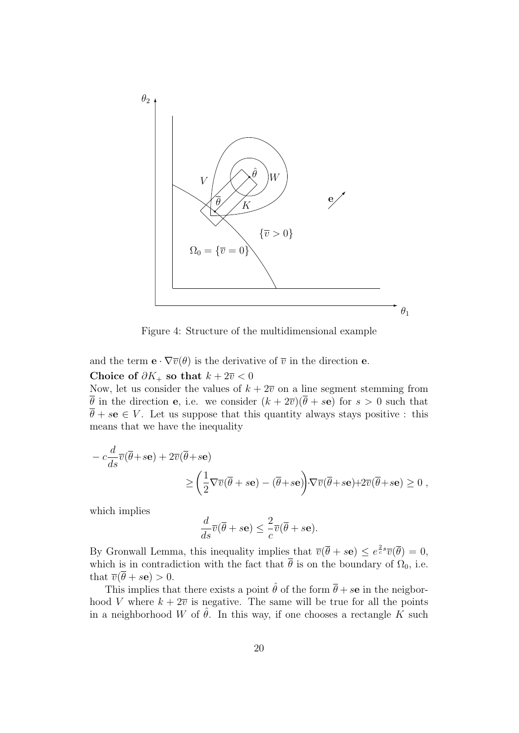

Figure 4: Structure of the multidimensional example

and the term  $\mathbf{e} \cdot \nabla \overline{v}(\theta)$  is the derivative of  $\overline{v}$  in the direction **e**.

#### Choice of  $\partial K_+$  so that  $k + 2\overline{v} < 0$

Now, let us consider the values of  $k + 2\overline{v}$  on a line segment stemming from  $\overline{\theta}$  in the direction **e**, i.e. we consider  $(k + 2\overline{v})(\overline{\theta} + s\mathbf{e})$  for  $s > 0$  such that  $\overline{\theta} + s\mathbf{e} \in V$ . Let us suppose that this quantity always stays positive: this means that we have the inequality

$$
- c \frac{d}{ds} \overline{v}(\overline{\theta} + s\mathbf{e}) + 2 \overline{v}(\overline{\theta} + s\mathbf{e})
$$
  

$$
\geq \left(\frac{1}{2} \nabla \overline{v}(\overline{\theta} + s\mathbf{e}) - (\overline{\theta} + s\mathbf{e})\right) \cdot \nabla \overline{v}(\overline{\theta} + s\mathbf{e}) + 2 \overline{v}(\overline{\theta} + s\mathbf{e}) \geq 0,
$$

which implies

$$
\frac{d}{ds}\overline{v}(\overline{\theta} + s\mathbf{e}) \le \frac{2}{c}\overline{v}(\overline{\theta} + s\mathbf{e}).
$$

By Gronwall Lemma, this inequality implies that  $\overline{v}(\overline{\theta} + s\mathbf{e}) \leq e^{\frac{2}{c}s}\overline{v}(\overline{\theta}) = 0$ , which is in contradiction with the fact that  $\bar{\theta}$  is on the boundary of  $\Omega_0$ , i.e. that  $\overline{v}(\overline{\theta} + s\mathbf{e}) > 0$ .

This implies that there exists a point  $\hat{\theta}$  of the form  $\bar{\theta} + s\mathbf{e}$  in the neigborhood V where  $k + 2\overline{v}$  is negative. The same will be true for all the points in a neighborhood W of  $\hat{\theta}$ . In this way, if one chooses a rectangle K such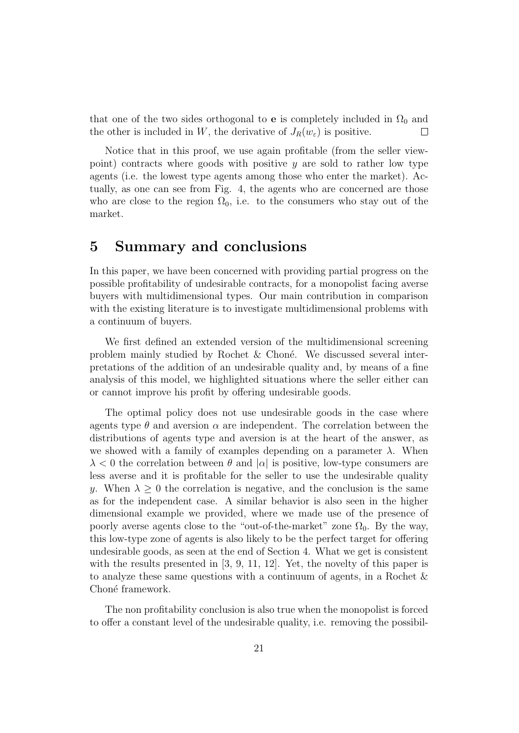that one of the two sides orthogonal to e is completely included in  $\Omega_0$  and the other is included in W, the derivative of  $J_R(w_\varepsilon)$  is positive.  $\mathbf{L}$ 

Notice that in this proof, we use again profitable (from the seller viewpoint) contracts where goods with positive  $y$  are sold to rather low type agents (i.e. the lowest type agents among those who enter the market). Actually, as one can see from Fig. 4, the agents who are concerned are those who are close to the region  $\Omega_0$ , i.e. to the consumers who stay out of the market.

# 5 Summary and conclusions

In this paper, we have been concerned with providing partial progress on the possible profitability of undesirable contracts, for a monopolist facing averse buyers with multidimensional types. Our main contribution in comparison with the existing literature is to investigate multidimensional problems with a continuum of buyers.

We first defined an extended version of the multidimensional screening problem mainly studied by Rochet  $\&$  Choné. We discussed several interpretations of the addition of an undesirable quality and, by means of a fine analysis of this model, we highlighted situations where the seller either can or cannot improve his profit by offering undesirable goods.

The optimal policy does not use undesirable goods in the case where agents type  $\theta$  and aversion  $\alpha$  are independent. The correlation between the distributions of agents type and aversion is at the heart of the answer, as we showed with a family of examples depending on a parameter  $\lambda$ . When  $\lambda < 0$  the correlation between  $\theta$  and  $|\alpha|$  is positive, low-type consumers are less averse and it is profitable for the seller to use the undesirable quality y. When  $\lambda \geq 0$  the correlation is negative, and the conclusion is the same as for the independent case. A similar behavior is also seen in the higher dimensional example we provided, where we made use of the presence of poorly averse agents close to the "out-of-the-market" zone  $\Omega_0$ . By the way, this low-type zone of agents is also likely to be the perfect target for offering undesirable goods, as seen at the end of Section 4. What we get is consistent with the results presented in  $[3, 9, 11, 12]$ . Yet, the novelty of this paper is to analyze these same questions with a continuum of agents, in a Rochet & Choné framework.

The non profitability conclusion is also true when the monopolist is forced to offer a constant level of the undesirable quality, i.e. removing the possibil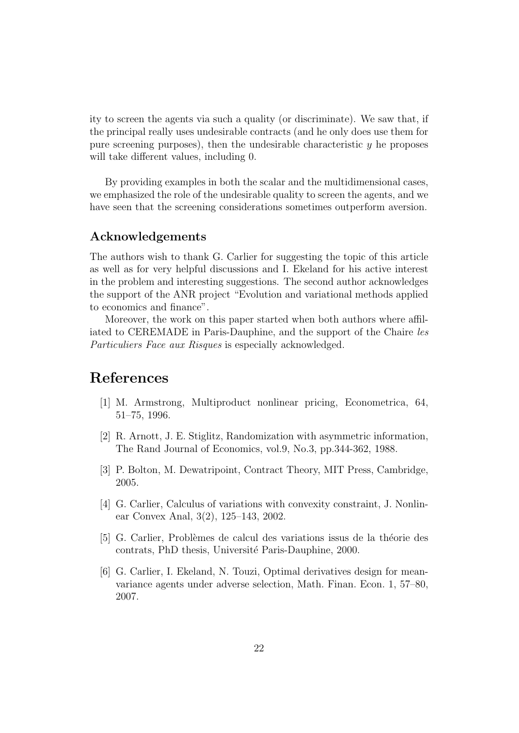ity to screen the agents via such a quality (or discriminate). We saw that, if the principal really uses undesirable contracts (and he only does use them for pure screening purposes), then the undesirable characteristic  $y$  he proposes will take different values, including 0.

By providing examples in both the scalar and the multidimensional cases, we emphasized the role of the undesirable quality to screen the agents, and we have seen that the screening considerations sometimes outperform aversion.

#### Acknowledgements

The authors wish to thank G. Carlier for suggesting the topic of this article as well as for very helpful discussions and I. Ekeland for his active interest in the problem and interesting suggestions. The second author acknowledges the support of the ANR project "Evolution and variational methods applied to economics and finance".

Moreover, the work on this paper started when both authors where affiliated to CEREMADE in Paris-Dauphine, and the support of the Chaire les Particuliers Face aux Risques is especially acknowledged.

# References

- [1] M. Armstrong, Multiproduct nonlinear pricing, Econometrica, 64, 51–75, 1996.
- [2] R. Arnott, J. E. Stiglitz, Randomization with asymmetric information, The Rand Journal of Economics, vol.9, No.3, pp.344-362, 1988.
- [3] P. Bolton, M. Dewatripoint, Contract Theory, MIT Press, Cambridge, 2005.
- [4] G. Carlier, Calculus of variations with convexity constraint, J. Nonlinear Convex Anal, 3(2), 125–143, 2002.
- [5] G. Carlier, Problèmes de calcul des variations issus de la théorie des contrats, PhD thesis, Université Paris-Dauphine, 2000.
- [6] G. Carlier, I. Ekeland, N. Touzi, Optimal derivatives design for meanvariance agents under adverse selection, Math. Finan. Econ. 1, 57–80, 2007.